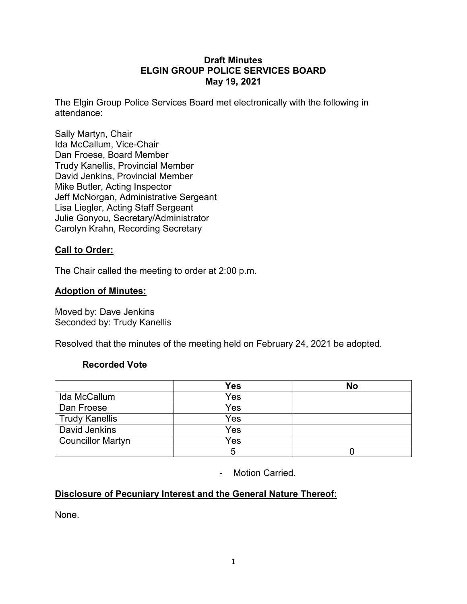### **Draft Minutes ELGIN GROUP POLICE SERVICES BOARD May 19, 2021**

The Elgin Group Police Services Board met electronically with the following in attendance:

Sally Martyn, Chair Ida McCallum, Vice-Chair Dan Froese, Board Member Trudy Kanellis, Provincial Member David Jenkins, Provincial Member Mike Butler, Acting Inspector Jeff McNorgan, Administrative Sergeant Lisa Liegler, Acting Staff Sergeant Julie Gonyou, Secretary/Administrator Carolyn Krahn, Recording Secretary

# **Call to Order:**

The Chair called the meeting to order at 2:00 p.m.

#### **Adoption of Minutes:**

Moved by: Dave Jenkins Seconded by: Trudy Kanellis

Resolved that the minutes of the meeting held on February 24, 2021 be adopted.

### **Recorded Vote**

|                          | <b>Yes</b> | <b>No</b> |
|--------------------------|------------|-----------|
| Ida McCallum             | Yes        |           |
| Dan Froese               | Yes        |           |
| <b>Trudy Kanellis</b>    | Yes        |           |
| David Jenkins            | Yes        |           |
| <b>Councillor Martyn</b> | Yes        |           |
|                          |            |           |

- Motion Carried.

### **Disclosure of Pecuniary Interest and the General Nature Thereof:**

None.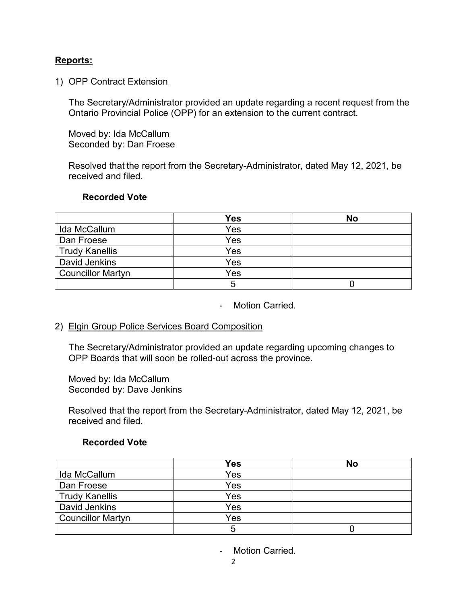## **Reports:**

#### 1) OPP Contract Extension

The Secretary/Administrator provided an update regarding a recent request from the Ontario Provincial Police (OPP) for an extension to the current contract.

Moved by: Ida McCallum Seconded by: Dan Froese

Resolved that the report from the Secretary-Administrator, dated May 12, 2021, be received and filed.

#### **Recorded Vote**

|                          | <b>Yes</b> | <b>No</b> |
|--------------------------|------------|-----------|
| Ida McCallum             | Yes        |           |
| Dan Froese               | Yes        |           |
| <b>Trudy Kanellis</b>    | Yes        |           |
| David Jenkins            | Yes        |           |
| <b>Councillor Martyn</b> | Yes        |           |
|                          |            |           |

- Motion Carried.

### 2) Elgin Group Police Services Board Composition

The Secretary/Administrator provided an update regarding upcoming changes to OPP Boards that will soon be rolled-out across the province.

Moved by: Ida McCallum Seconded by: Dave Jenkins

Resolved that the report from the Secretary-Administrator, dated May 12, 2021, be received and filed.

### **Recorded Vote**

|                          | <b>Yes</b> | <b>No</b> |
|--------------------------|------------|-----------|
| Ida McCallum             | Yes        |           |
| Dan Froese               | Yes        |           |
| <b>Trudy Kanellis</b>    | Yes        |           |
| David Jenkins            | Yes        |           |
| <b>Councillor Martyn</b> | Yes        |           |
|                          |            |           |

- Motion Carried.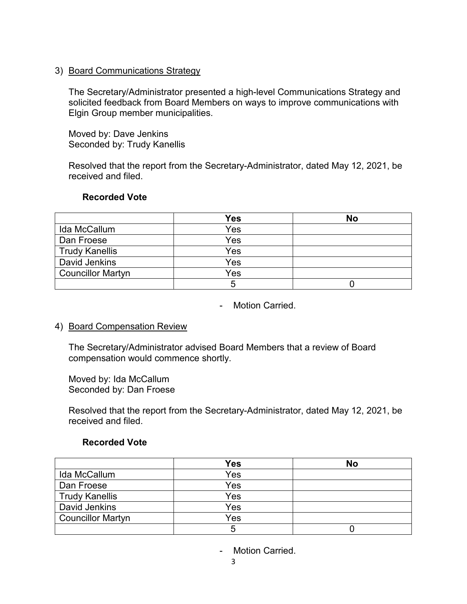### 3) Board Communications Strategy

The Secretary/Administrator presented a high-level Communications Strategy and solicited feedback from Board Members on ways to improve communications with Elgin Group member municipalities.

Moved by: Dave Jenkins Seconded by: Trudy Kanellis

Resolved that the report from the Secretary-Administrator, dated May 12, 2021, be received and filed.

## **Recorded Vote**

|                          | <b>Yes</b> | <b>No</b> |
|--------------------------|------------|-----------|
| Ida McCallum             | Yes        |           |
| Dan Froese               | Yes        |           |
| <b>Trudy Kanellis</b>    | Yes        |           |
| David Jenkins            | Yes        |           |
| <b>Councillor Martyn</b> | Yes        |           |
|                          |            |           |

- Motion Carried.

### 4) Board Compensation Review

The Secretary/Administrator advised Board Members that a review of Board compensation would commence shortly.

Moved by: Ida McCallum Seconded by: Dan Froese

Resolved that the report from the Secretary-Administrator, dated May 12, 2021, be received and filed.

### **Recorded Vote**

|                          | <b>Yes</b> | <b>No</b> |
|--------------------------|------------|-----------|
| Ida McCallum             | Yes        |           |
| Dan Froese               | Yes        |           |
| <b>Trudy Kanellis</b>    | Yes        |           |
| David Jenkins            | Yes        |           |
| <b>Councillor Martyn</b> | Yes        |           |
|                          |            |           |

- Motion Carried.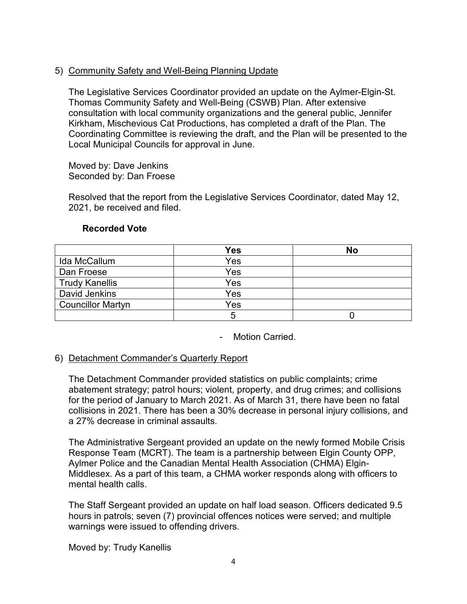# 5) Community Safety and Well-Being Planning Update

The Legislative Services Coordinator provided an update on the Aylmer-Elgin-St. Thomas Community Safety and Well-Being (CSWB) Plan. After extensive consultation with local community organizations and the general public, Jennifer Kirkham, Mischevious Cat Productions, has completed a draft of the Plan. The Coordinating Committee is reviewing the draft, and the Plan will be presented to the Local Municipal Councils for approval in June.

Moved by: Dave Jenkins Seconded by: Dan Froese

Resolved that the report from the Legislative Services Coordinator, dated May 12, 2021, be received and filed.

|                          | <b>Yes</b> | <b>No</b> |
|--------------------------|------------|-----------|
| Ida McCallum             | Yes        |           |
| Dan Froese               | Yes        |           |
| <b>Trudy Kanellis</b>    | Yes        |           |
| David Jenkins            | Yes        |           |
| <b>Councillor Martyn</b> | Yes        |           |
|                          |            |           |

### **Recorded Vote**

- Motion Carried.

### 6) Detachment Commander's Quarterly Report

The Detachment Commander provided statistics on public complaints; crime abatement strategy; patrol hours; violent, property, and drug crimes; and collisions for the period of January to March 2021. As of March 31, there have been no fatal collisions in 2021. There has been a 30% decrease in personal injury collisions, and a 27% decrease in criminal assaults.

The Administrative Sergeant provided an update on the newly formed Mobile Crisis Response Team (MCRT). The team is a partnership between Elgin County OPP, Aylmer Police and the Canadian Mental Health Association (CHMA) Elgin-Middlesex. As a part of this team, a CHMA worker responds along with officers to mental health calls.

The Staff Sergeant provided an update on half load season. Officers dedicated 9.5 hours in patrols; seven (7) provincial offences notices were served; and multiple warnings were issued to offending drivers.

Moved by: Trudy Kanellis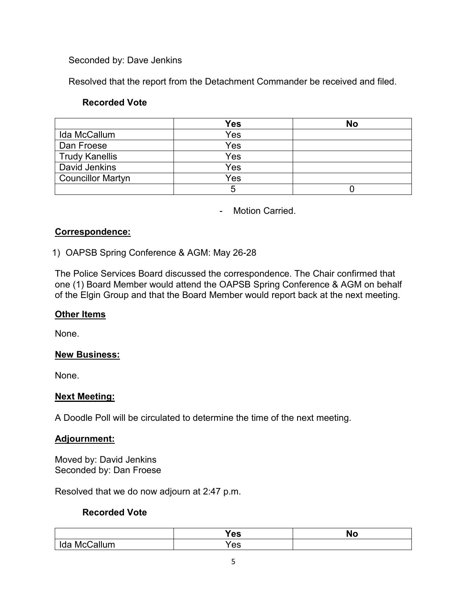## Seconded by: Dave Jenkins

Resolved that the report from the Detachment Commander be received and filed.

### **Recorded Vote**

|                          | <b>Yes</b> | <b>No</b> |
|--------------------------|------------|-----------|
| Ida McCallum             | Yes        |           |
| Dan Froese               | Yes        |           |
| <b>Trudy Kanellis</b>    | Yes        |           |
| David Jenkins            | Yes        |           |
| <b>Councillor Martyn</b> | Yes        |           |
|                          |            |           |

- Motion Carried.

## **Correspondence:**

## 1) OAPSB Spring Conference & AGM: May 26-28

The Police Services Board discussed the correspondence. The Chair confirmed that one (1) Board Member would attend the OAPSB Spring Conference & AGM on behalf of the Elgin Group and that the Board Member would report back at the next meeting.

### **Other Items**

None.

# **New Business:**

None.

# **Next Meeting:**

A Doodle Poll will be circulated to determine the time of the next meeting.

### **Adjournment:**

Moved by: David Jenkins Seconded by: Dan Froese

Resolved that we do now adjourn at 2:47 p.m.

### **Recorded Vote**

|                | <b>Yes</b>   | <b>No</b> |
|----------------|--------------|-----------|
| `allum<br>McI. | $\sim$<br>vo |           |